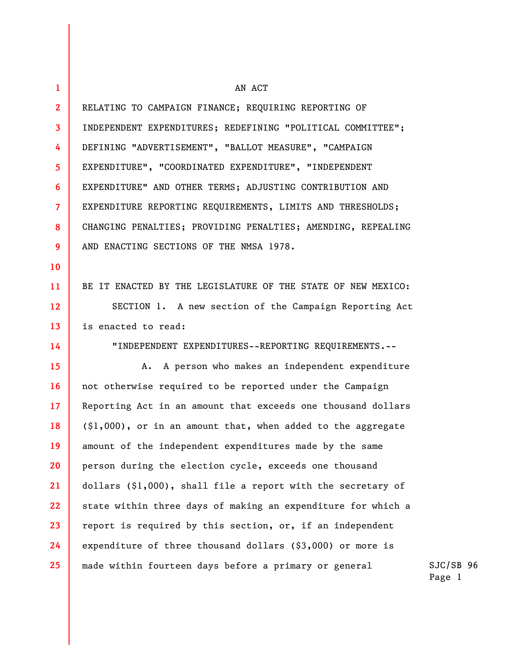| $\mathbf{1}$            | AN ACT                                                       |                       |  |
|-------------------------|--------------------------------------------------------------|-----------------------|--|
| $\mathbf{2}$            | RELATING TO CAMPAIGN FINANCE; REQUIRING REPORTING OF         |                       |  |
| $\overline{\mathbf{3}}$ | INDEPENDENT EXPENDITURES; REDEFINING "POLITICAL COMMITTEE";  |                       |  |
| 4                       | DEFINING "ADVERTISEMENT", "BALLOT MEASURE", "CAMPAIGN        |                       |  |
| 5 <sup>5</sup>          | EXPENDITURE", "COORDINATED EXPENDITURE", "INDEPENDENT        |                       |  |
| 6                       | EXPENDITURE" AND OTHER TERMS; ADJUSTING CONTRIBUTION AND     |                       |  |
| $\overline{7}$          | EXPENDITURE REPORTING REQUIREMENTS, LIMITS AND THRESHOLDS;   |                       |  |
| 8                       | CHANGING PENALTIES; PROVIDING PENALTIES; AMENDING, REPEALING |                       |  |
| 9                       | AND ENACTING SECTIONS OF THE NMSA 1978.                      |                       |  |
| 10 <sup>°</sup>         |                                                              |                       |  |
| 11                      | BE IT ENACTED BY THE LEGISLATURE OF THE STATE OF NEW MEXICO: |                       |  |
| 12 <sup>2</sup>         | SECTION 1. A new section of the Campaign Reporting Act       |                       |  |
| 13                      | is enacted to read:                                          |                       |  |
| 14                      | "INDEPENDENT EXPENDITURES--REPORTING REQUIREMENTS.--         |                       |  |
| 15                      | A. A person who makes an independent expenditure             |                       |  |
| 16 <sup>2</sup>         | not otherwise required to be reported under the Campaign     |                       |  |
| 17                      | Reporting Act in an amount that exceeds one thousand dollars |                       |  |
| 18                      | (\$1,000), or in an amount that, when added to the aggregate |                       |  |
| 19                      | amount of the independent expenditures made by the same      |                       |  |
| 20                      | person during the election cycle, exceeds one thousand       |                       |  |
| 21                      | dollars (\$1,000), shall file a report with the secretary of |                       |  |
| 22                      | state within three days of making an expenditure for which a |                       |  |
| 23                      | report is required by this section, or, if an independent    |                       |  |
| 24                      | expenditure of three thousand dollars $(33,000)$ or more is  |                       |  |
| $25\phantom{.0}$        | made within fourteen days before a primary or general        | $SJC/SB$ 96<br>Page 1 |  |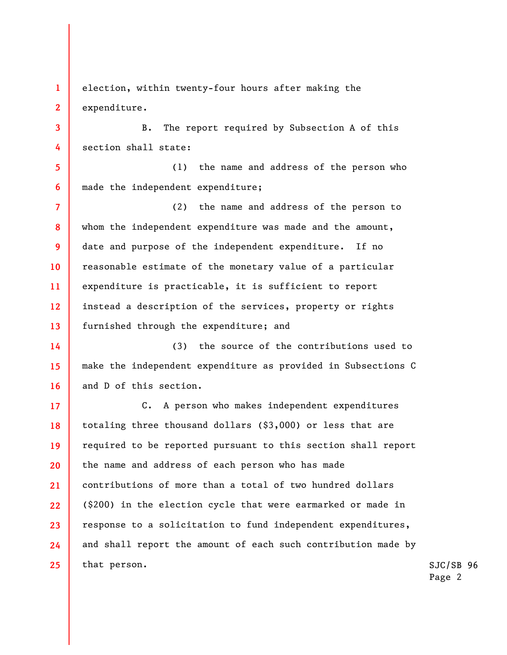**1 2**  election, within twenty-four hours after making the expenditure.

**3** 

**4** 

**5** 

**6** 

B. The report required by Subsection A of this section shall state:

(1) the name and address of the person who made the independent expenditure;

**7 8 9 10 11 12 13**  (2) the name and address of the person to whom the independent expenditure was made and the amount, date and purpose of the independent expenditure. If no reasonable estimate of the monetary value of a particular expenditure is practicable, it is sufficient to report instead a description of the services, property or rights furnished through the expenditure; and

**14 15 16**  (3) the source of the contributions used to make the independent expenditure as provided in Subsections C and D of this section.

**17 18 19 20 21 22 23 24 25**  C. A person who makes independent expenditures totaling three thousand dollars (\$3,000) or less that are required to be reported pursuant to this section shall report the name and address of each person who has made contributions of more than a total of two hundred dollars (\$200) in the election cycle that were earmarked or made in response to a solicitation to fund independent expenditures, and shall report the amount of each such contribution made by that person.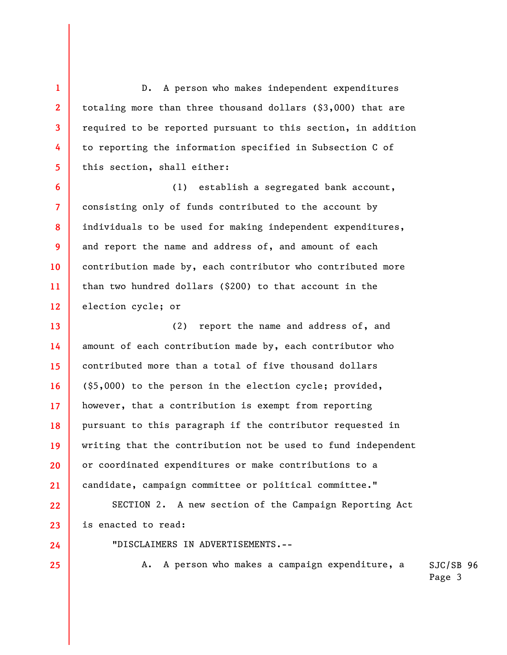D. A person who makes independent expenditures totaling more than three thousand dollars (\$3,000) that are required to be reported pursuant to this section, in addition to reporting the information specified in Subsection C of this section, shall either:

**1** 

**2** 

**3** 

**4** 

**5** 

**24** 

**25** 

**6 7 8 9 10 11 12**  (1) establish a segregated bank account, consisting only of funds contributed to the account by individuals to be used for making independent expenditures, and report the name and address of, and amount of each contribution made by, each contributor who contributed more than two hundred dollars (\$200) to that account in the election cycle; or

**13 14 15 16 17 18 19 20 21**  (2) report the name and address of, and amount of each contribution made by, each contributor who contributed more than a total of five thousand dollars (\$5,000) to the person in the election cycle; provided, however, that a contribution is exempt from reporting pursuant to this paragraph if the contributor requested in writing that the contribution not be used to fund independent or coordinated expenditures or make contributions to a candidate, campaign committee or political committee."

**22 23**  SECTION 2. A new section of the Campaign Reporting Act is enacted to read:

"DISCLAIMERS IN ADVERTISEMENTS.--

SJC/SB 96 A. A person who makes a campaign expenditure, a

Page 3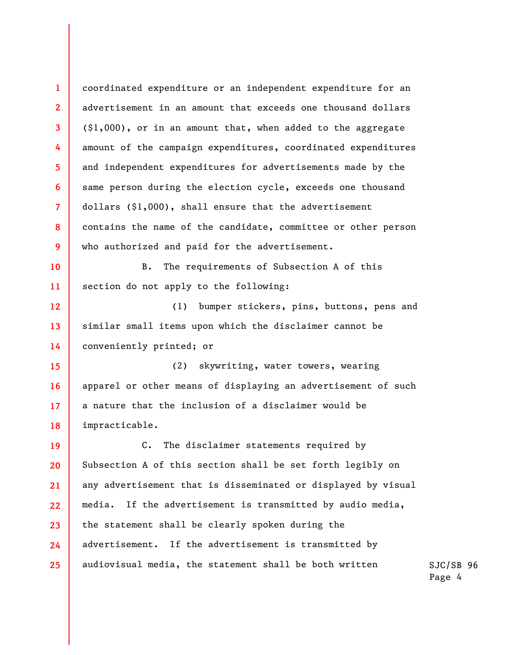**1 2 3 4 5 6 7 8 9 10 11 12 13 14 15 16 17 18 19 20 21 22 23**  coordinated expenditure or an independent expenditure for an advertisement in an amount that exceeds one thousand dollars (\$1,000), or in an amount that, when added to the aggregate amount of the campaign expenditures, coordinated expenditures and independent expenditures for advertisements made by the same person during the election cycle, exceeds one thousand dollars (\$1,000), shall ensure that the advertisement contains the name of the candidate, committee or other person who authorized and paid for the advertisement. B. The requirements of Subsection A of this section do not apply to the following: (1) bumper stickers, pins, buttons, pens and similar small items upon which the disclaimer cannot be conveniently printed; or (2) skywriting, water towers, wearing apparel or other means of displaying an advertisement of such a nature that the inclusion of a disclaimer would be impracticable. C. The disclaimer statements required by Subsection A of this section shall be set forth legibly on any advertisement that is disseminated or displayed by visual media. If the advertisement is transmitted by audio media, the statement shall be clearly spoken during the

**25**  audiovisual media, the statement shall be both written

advertisement. If the advertisement is transmitted by

**24**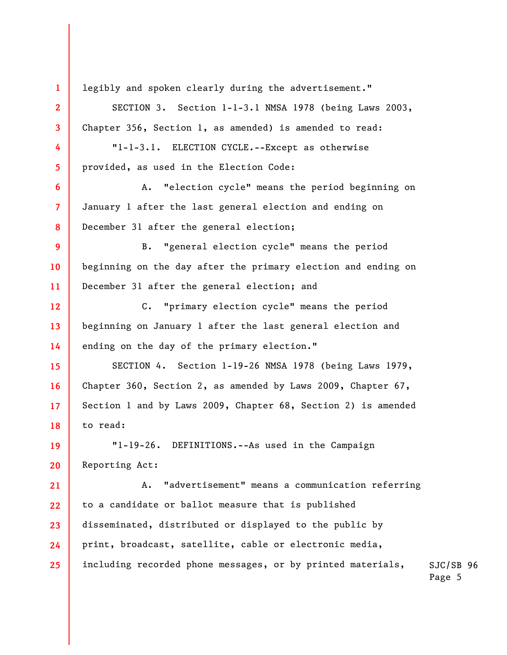**1 2 3 4 5 6 7 8 9 10 11 12 13 14 15 16 17 18 19 20 21 22 23 24 25**  legibly and spoken clearly during the advertisement." SECTION 3. Section 1-1-3.1 NMSA 1978 (being Laws 2003, Chapter 356, Section 1, as amended) is amended to read: "1-1-3.1. ELECTION CYCLE.--Except as otherwise provided, as used in the Election Code: A. "election cycle" means the period beginning on January 1 after the last general election and ending on December 31 after the general election; B. "general election cycle" means the period beginning on the day after the primary election and ending on December 31 after the general election; and C. "primary election cycle" means the period beginning on January 1 after the last general election and ending on the day of the primary election." SECTION 4. Section 1-19-26 NMSA 1978 (being Laws 1979, Chapter 360, Section 2, as amended by Laws 2009, Chapter 67, Section 1 and by Laws 2009, Chapter 68, Section 2) is amended to read: "1-19-26. DEFINITIONS.--As used in the Campaign Reporting Act: A. "advertisement" means a communication referring to a candidate or ballot measure that is published disseminated, distributed or displayed to the public by print, broadcast, satellite, cable or electronic media, including recorded phone messages, or by printed materials,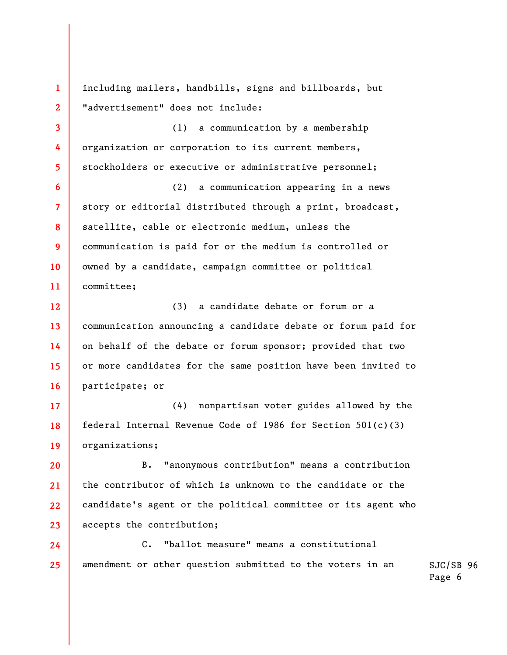**1 2 3 4 5 6 7 8 9 10 11 12 13 14 15 16 17 18 19 20 21 22 23 24 25**  including mailers, handbills, signs and billboards, but "advertisement" does not include: (1) a communication by a membership organization or corporation to its current members, stockholders or executive or administrative personnel; (2) a communication appearing in a news story or editorial distributed through a print, broadcast, satellite, cable or electronic medium, unless the communication is paid for or the medium is controlled or owned by a candidate, campaign committee or political committee; (3) a candidate debate or forum or a communication announcing a candidate debate or forum paid for on behalf of the debate or forum sponsor; provided that two or more candidates for the same position have been invited to participate; or (4) nonpartisan voter guides allowed by the federal Internal Revenue Code of 1986 for Section 501(c)(3) organizations; B. "anonymous contribution" means a contribution the contributor of which is unknown to the candidate or the candidate's agent or the political committee or its agent who accepts the contribution; C. "ballot measure" means a constitutional amendment or other question submitted to the voters in an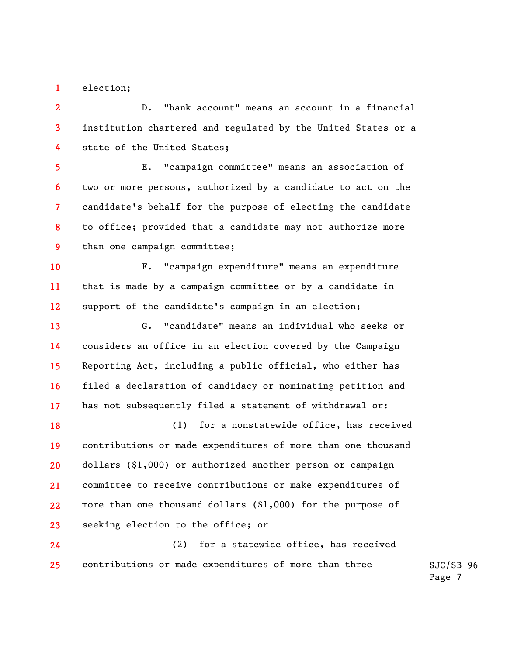election;

**1** 

**2** 

**3** 

**4** 

**5** 

**6** 

**7** 

**8** 

**9** 

**10** 

**11** 

**12** 

D. "bank account" means an account in a financial institution chartered and regulated by the United States or a state of the United States;

E. "campaign committee" means an association of two or more persons, authorized by a candidate to act on the candidate's behalf for the purpose of electing the candidate to office; provided that a candidate may not authorize more than one campaign committee;

F. "campaign expenditure" means an expenditure that is made by a campaign committee or by a candidate in support of the candidate's campaign in an election;

**13 14 15 16 17**  G. "candidate" means an individual who seeks or considers an office in an election covered by the Campaign Reporting Act, including a public official, who either has filed a declaration of candidacy or nominating petition and has not subsequently filed a statement of withdrawal or:

**18 19 20 21 22 23**  (1) for a nonstatewide office, has received contributions or made expenditures of more than one thousand dollars (\$1,000) or authorized another person or campaign committee to receive contributions or make expenditures of more than one thousand dollars (\$1,000) for the purpose of seeking election to the office; or

**24 25**  (2) for a statewide office, has received contributions or made expenditures of more than three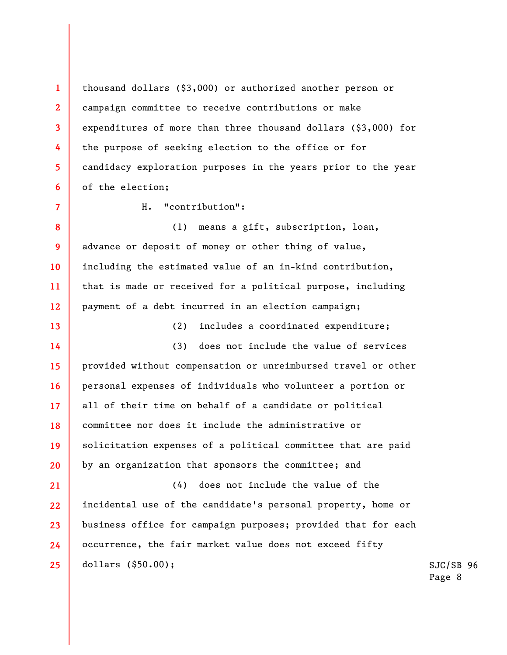thousand dollars (\$3,000) or authorized another person or campaign committee to receive contributions or make expenditures of more than three thousand dollars (\$3,000) for the purpose of seeking election to the office or for candidacy exploration purposes in the years prior to the year of the election;

**1** 

**2** 

**3** 

**4** 

**5** 

**6** 

**7** 

**8** 

**9** 

**10** 

**11** 

**12** 

**13** 

H. "contribution":

(1) means a gift, subscription, loan, advance or deposit of money or other thing of value, including the estimated value of an in-kind contribution, that is made or received for a political purpose, including payment of a debt incurred in an election campaign;

(2) includes a coordinated expenditure;

**14 15 16 17 18 19 20**  (3) does not include the value of services provided without compensation or unreimbursed travel or other personal expenses of individuals who volunteer a portion or all of their time on behalf of a candidate or political committee nor does it include the administrative or solicitation expenses of a political committee that are paid by an organization that sponsors the committee; and

**21 22 23 24 25**  (4) does not include the value of the incidental use of the candidate's personal property, home or business office for campaign purposes; provided that for each occurrence, the fair market value does not exceed fifty dollars (\$50.00);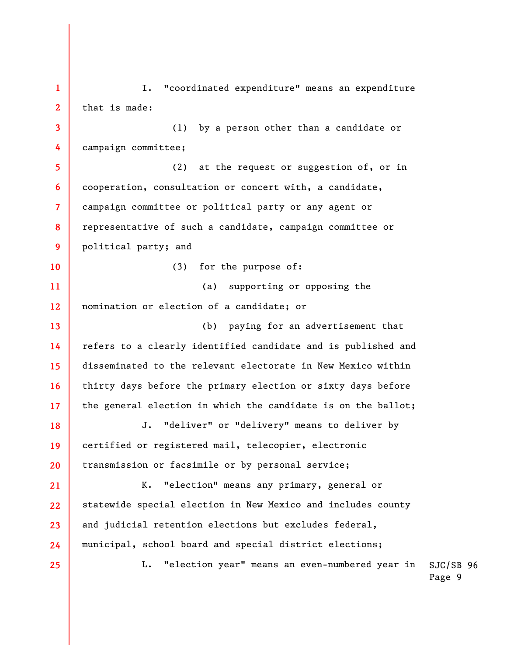SJC/SB 96 **1 2 3 4 5 6 7 8 9 10 11 12 13 14 15 16 17 18 19 20 21 22 23 24 25**  I. "coordinated expenditure" means an expenditure that is made: (1) by a person other than a candidate or campaign committee; (2) at the request or suggestion of, or in cooperation, consultation or concert with, a candidate, campaign committee or political party or any agent or representative of such a candidate, campaign committee or political party; and (3) for the purpose of: (a) supporting or opposing the nomination or election of a candidate; or (b) paying for an advertisement that refers to a clearly identified candidate and is published and disseminated to the relevant electorate in New Mexico within thirty days before the primary election or sixty days before the general election in which the candidate is on the ballot; J. "deliver" or "delivery" means to deliver by certified or registered mail, telecopier, electronic transmission or facsimile or by personal service; K. "election" means any primary, general or statewide special election in New Mexico and includes county and judicial retention elections but excludes federal, municipal, school board and special district elections; L. "election year" means an even-numbered year in

Page 9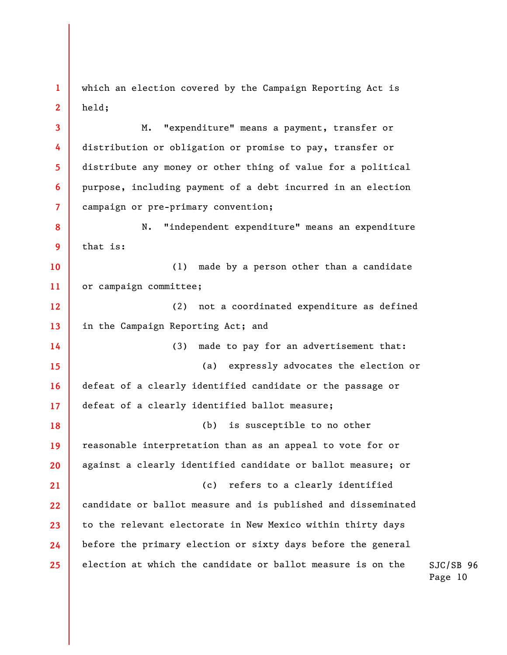**1 2**  which an election covered by the Campaign Reporting Act is held;

**3** 

**4** 

**5** 

**6** 

**7** 

M. "expenditure" means a payment, transfer or distribution or obligation or promise to pay, transfer or distribute any money or other thing of value for a political purpose, including payment of a debt incurred in an election campaign or pre-primary convention;

**8 9**  N. "independent expenditure" means an expenditure that is:

**10 11**  (1) made by a person other than a candidate or campaign committee;

**12 13**  (2) not a coordinated expenditure as defined in the Campaign Reporting Act; and

**14 15 16 17**  (3) made to pay for an advertisement that: (a) expressly advocates the election or defeat of a clearly identified candidate or the passage or defeat of a clearly identified ballot measure;

**18 19 20 21 22**  (b) is susceptible to no other reasonable interpretation than as an appeal to vote for or against a clearly identified candidate or ballot measure; or (c) refers to a clearly identified candidate or ballot measure and is published and disseminated

**23 24 25**  to the relevant electorate in New Mexico within thirty days before the primary election or sixty days before the general election at which the candidate or ballot measure is on the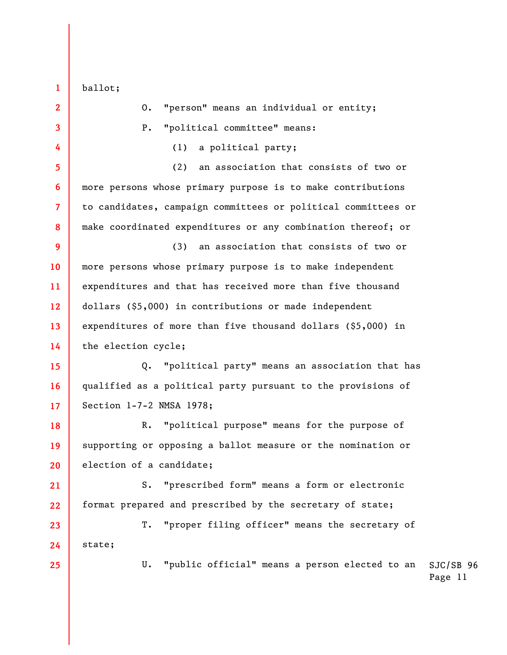ballot;

**1** 

 $\overline{\phantom{a}}$ 

| $\overline{2}$           | "person" means an individual or entity;<br>0.                      |  |  |  |
|--------------------------|--------------------------------------------------------------------|--|--|--|
| 3                        | "political committee" means:<br>$P$ .                              |  |  |  |
| 4                        | a political party;<br>(1)                                          |  |  |  |
| 5                        | an association that consists of two or<br>(2)                      |  |  |  |
| 6                        | more persons whose primary purpose is to make contributions        |  |  |  |
| $\overline{\mathcal{L}}$ | to candidates, campaign committees or political committees or      |  |  |  |
| 8                        | make coordinated expenditures or any combination thereof; or       |  |  |  |
| 9                        | an association that consists of two or<br>(3)                      |  |  |  |
| 10                       | more persons whose primary purpose is to make independent          |  |  |  |
| 11                       | expenditures and that has received more than five thousand         |  |  |  |
| 12                       | dollars (\$5,000) in contributions or made independent             |  |  |  |
| 13                       | expenditures of more than five thousand dollars (\$5,000) in       |  |  |  |
| 14                       | the election cycle;                                                |  |  |  |
| 15                       | Q. "political party" means an association that has                 |  |  |  |
| 16                       | qualified as a political party pursuant to the provisions of       |  |  |  |
| 17                       | Section 1-7-2 NMSA 1978;                                           |  |  |  |
| 18                       | "political purpose" means for the purpose of<br>$R_{\bullet}$      |  |  |  |
| 19                       | supporting or opposing a ballot measure or the nomination or       |  |  |  |
| 20                       | election of a candidate;                                           |  |  |  |
| 21                       | "prescribed form" means a form or electronic<br>$S_{\bullet}$      |  |  |  |
| 22                       | format prepared and prescribed by the secretary of state;          |  |  |  |
| 23                       | "proper filing officer" means the secretary of<br>T.               |  |  |  |
| 24                       | state;                                                             |  |  |  |
| 25                       | "public official" means a person elected to an<br>U.<br>SJC<br>Pag |  |  |  |
|                          |                                                                    |  |  |  |

 $S/SB$  96  $\frac{1}{2}$ e 11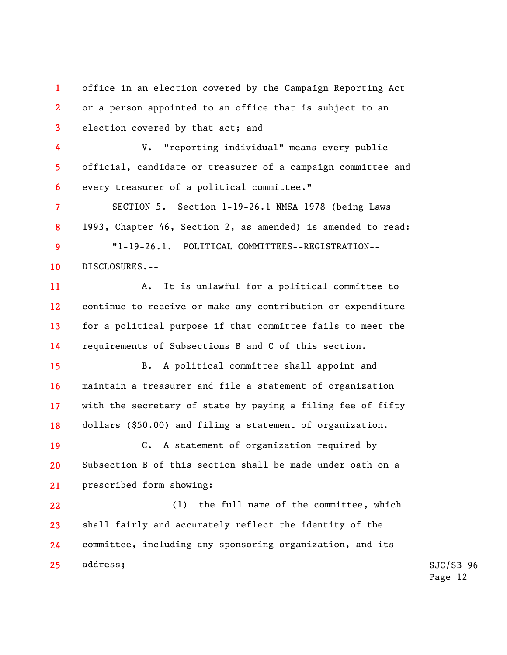office in an election covered by the Campaign Reporting Act or a person appointed to an office that is subject to an election covered by that act; and

**1** 

**2** 

**3** 

**4** 

**5** 

**6** 

**7** 

**8** 

**9** 

**10** 

**11** 

**12** 

**13** 

**14** 

V. "reporting individual" means every public official, candidate or treasurer of a campaign committee and every treasurer of a political committee."

SECTION 5. Section 1-19-26.1 NMSA 1978 (being Laws 1993, Chapter 46, Section 2, as amended) is amended to read:

"1-19-26.1. POLITICAL COMMITTEES--REGISTRATION-- DISCLOSURES.--

A. It is unlawful for a political committee to continue to receive or make any contribution or expenditure for a political purpose if that committee fails to meet the requirements of Subsections B and C of this section.

**15 16 17 18**  B. A political committee shall appoint and maintain a treasurer and file a statement of organization with the secretary of state by paying a filing fee of fifty dollars (\$50.00) and filing a statement of organization.

**19 20 21**  C. A statement of organization required by Subsection B of this section shall be made under oath on a prescribed form showing:

**22 23 24 25**  (1) the full name of the committee, which shall fairly and accurately reflect the identity of the committee, including any sponsoring organization, and its address;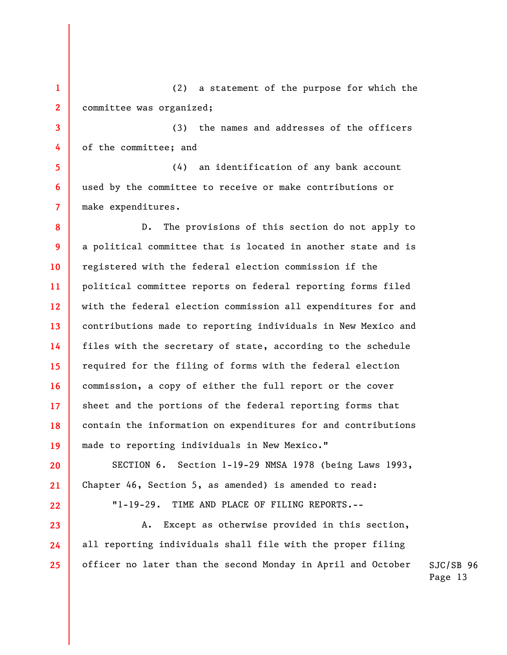(2) a statement of the purpose for which the committee was organized;

**1** 

**2** 

**3** 

**4** 

**5** 

**6** 

**7** 

**20** 

**21** 

**22** 

**23** 

**24** 

**25** 

(3) the names and addresses of the officers of the committee; and

(4) an identification of any bank account used by the committee to receive or make contributions or make expenditures.

**8 9 10 11 12 13 14 15 16 17 18 19**  D. The provisions of this section do not apply to a political committee that is located in another state and is registered with the federal election commission if the political committee reports on federal reporting forms filed with the federal election commission all expenditures for and contributions made to reporting individuals in New Mexico and files with the secretary of state, according to the schedule required for the filing of forms with the federal election commission, a copy of either the full report or the cover sheet and the portions of the federal reporting forms that contain the information on expenditures for and contributions made to reporting individuals in New Mexico."

SECTION 6. Section 1-19-29 NMSA 1978 (being Laws 1993, Chapter 46, Section 5, as amended) is amended to read:

"1-19-29. TIME AND PLACE OF FILING REPORTS.--

A. Except as otherwise provided in this section, all reporting individuals shall file with the proper filing officer no later than the second Monday in April and October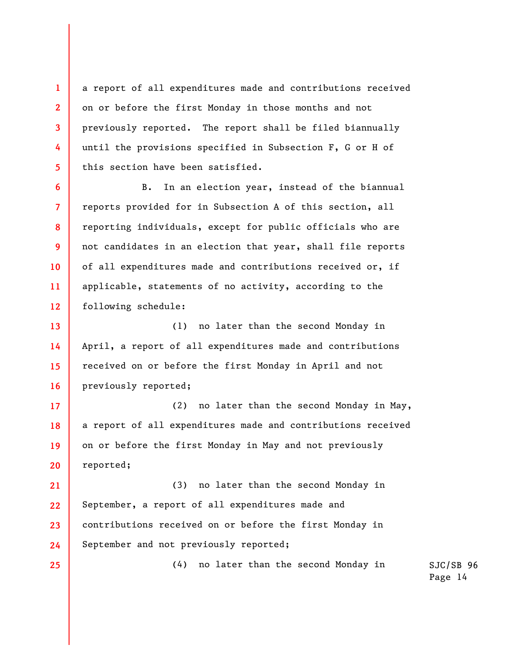a report of all expenditures made and contributions received on or before the first Monday in those months and not previously reported. The report shall be filed biannually until the provisions specified in Subsection F, G or H of this section have been satisfied.

**1** 

**2** 

**3** 

**4** 

**5** 

**6** 

**7** 

**8** 

**9** 

**10** 

**11** 

**12** 

**25** 

B. In an election year, instead of the biannual reports provided for in Subsection A of this section, all reporting individuals, except for public officials who are not candidates in an election that year, shall file reports of all expenditures made and contributions received or, if applicable, statements of no activity, according to the following schedule:

**13 14 15 16**  (1) no later than the second Monday in April, a report of all expenditures made and contributions received on or before the first Monday in April and not previously reported;

**17 18 19 20**  (2) no later than the second Monday in May, a report of all expenditures made and contributions received on or before the first Monday in May and not previously reported;

**21 22 23 24**  (3) no later than the second Monday in September, a report of all expenditures made and contributions received on or before the first Monday in September and not previously reported;

(4) no later than the second Monday in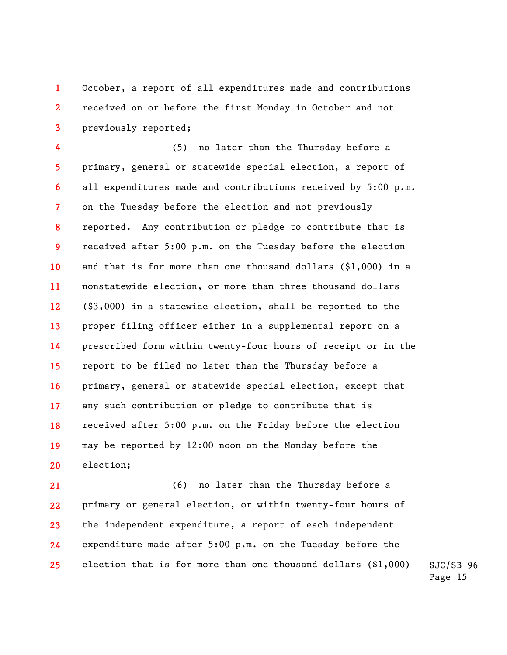October, a report of all expenditures made and contributions received on or before the first Monday in October and not previously reported;

**1** 

**2** 

**3** 

**4 5 6 7 8 9 10 11 12 13 14 15 16 17 18 19 20**  (5) no later than the Thursday before a primary, general or statewide special election, a report of all expenditures made and contributions received by 5:00 p.m. on the Tuesday before the election and not previously reported. Any contribution or pledge to contribute that is received after 5:00 p.m. on the Tuesday before the election and that is for more than one thousand dollars (\$1,000) in a nonstatewide election, or more than three thousand dollars (\$3,000) in a statewide election, shall be reported to the proper filing officer either in a supplemental report on a prescribed form within twenty-four hours of receipt or in the report to be filed no later than the Thursday before a primary, general or statewide special election, except that any such contribution or pledge to contribute that is received after 5:00 p.m. on the Friday before the election may be reported by 12:00 noon on the Monday before the election;

**21 22 23 24 25**  (6) no later than the Thursday before a primary or general election, or within twenty-four hours of the independent expenditure, a report of each independent expenditure made after 5:00 p.m. on the Tuesday before the election that is for more than one thousand dollars (\$1,000)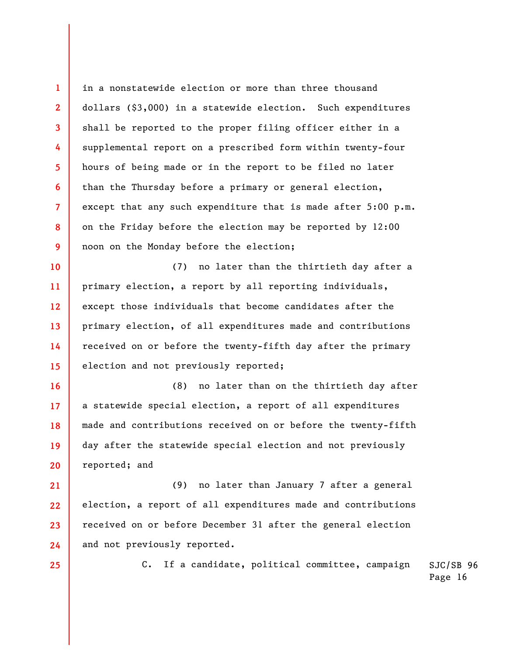in a nonstatewide election or more than three thousand dollars (\$3,000) in a statewide election. Such expenditures shall be reported to the proper filing officer either in a supplemental report on a prescribed form within twenty-four hours of being made or in the report to be filed no later than the Thursday before a primary or general election, except that any such expenditure that is made after 5:00 p.m. on the Friday before the election may be reported by 12:00 noon on the Monday before the election;

**10 11 12 13 14 15**  (7) no later than the thirtieth day after a primary election, a report by all reporting individuals, except those individuals that become candidates after the primary election, of all expenditures made and contributions received on or before the twenty-fifth day after the primary election and not previously reported;

(8) no later than on the thirtieth day after a statewide special election, a report of all expenditures made and contributions received on or before the twenty-fifth day after the statewide special election and not previously reported; and

**21 22 23 24**  (9) no later than January 7 after a general election, a report of all expenditures made and contributions received on or before December 31 after the general election and not previously reported.

**25** 

**1** 

**2** 

**3** 

**4** 

**5** 

**6** 

**7** 

**8** 

**9** 

**16** 

**17** 

**18** 

**19** 

**20** 

SJC/SB 96 C. If a candidate, political committee, campaign

Page 16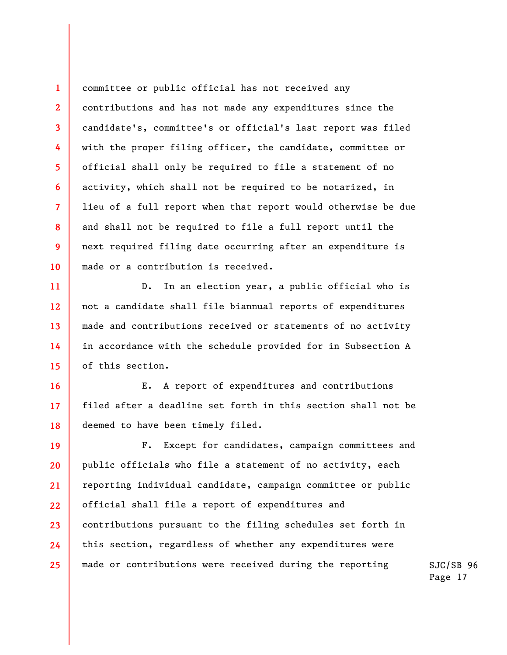committee or public official has not received any contributions and has not made any expenditures since the candidate's, committee's or official's last report was filed with the proper filing officer, the candidate, committee or official shall only be required to file a statement of no activity, which shall not be required to be notarized, in lieu of a full report when that report would otherwise be due and shall not be required to file a full report until the next required filing date occurring after an expenditure is made or a contribution is received.

**1** 

**2** 

**3** 

**4** 

**5** 

**6** 

**7** 

**8** 

**9** 

**10** 

**11** 

**12** 

**13** 

**14** 

**15** 

**16** 

**17** 

**18** 

D. In an election year, a public official who is not a candidate shall file biannual reports of expenditures made and contributions received or statements of no activity in accordance with the schedule provided for in Subsection A of this section.

E. A report of expenditures and contributions filed after a deadline set forth in this section shall not be deemed to have been timely filed.

**19 20 21 22 23 24 25**  F. Except for candidates, campaign committees and public officials who file a statement of no activity, each reporting individual candidate, campaign committee or public official shall file a report of expenditures and contributions pursuant to the filing schedules set forth in this section, regardless of whether any expenditures were made or contributions were received during the reporting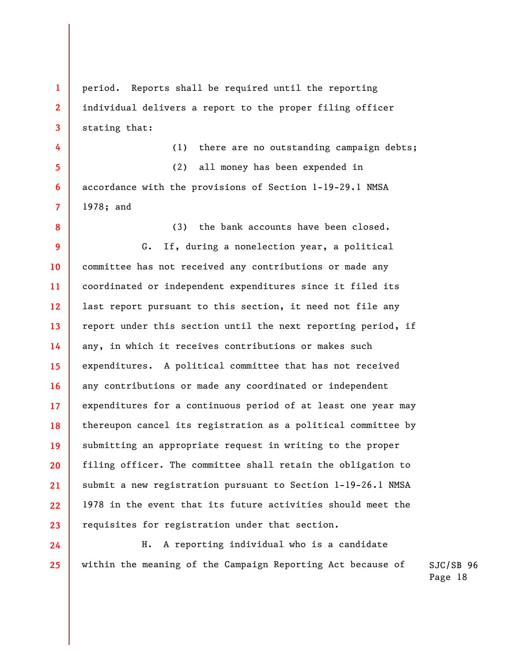**1 2 3**  period. Reports shall be required until the reporting individual delivers a report to the proper filing officer stating that:

**4** 

**5** 

**6** 

**7** 

**8** 

**24** 

**25** 

(1) there are no outstanding campaign debts; (2) all money has been expended in

accordance with the provisions of Section 1-19-29.1 NMSA 1978; and

(3) the bank accounts have been closed.

**9 10 11 12 13 14 15 16 17 18 19 20 21 22 23**  G. If, during a nonelection year, a political committee has not received any contributions or made any coordinated or independent expenditures since it filed its last report pursuant to this section, it need not file any report under this section until the next reporting period, if any, in which it receives contributions or makes such expenditures. A political committee that has not received any contributions or made any coordinated or independent expenditures for a continuous period of at least one year may thereupon cancel its registration as a political committee by submitting an appropriate request in writing to the proper filing officer. The committee shall retain the obligation to submit a new registration pursuant to Section 1-19-26.1 NMSA 1978 in the event that its future activities should meet the requisites for registration under that section.

SJC/SB 96 H. A reporting individual who is a candidate within the meaning of the Campaign Reporting Act because of

Page 18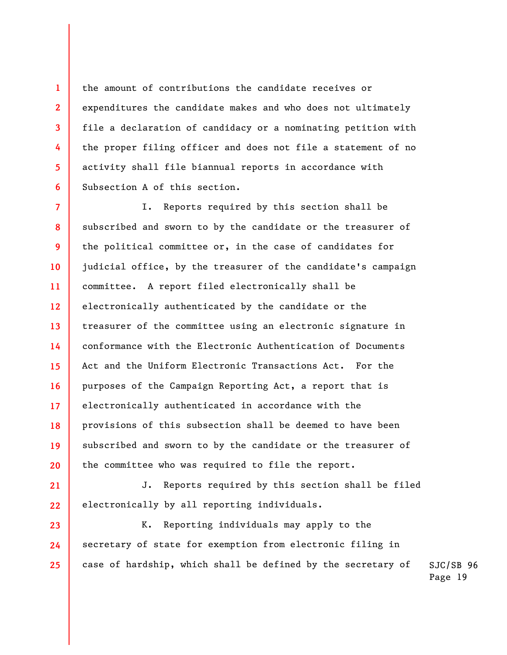the amount of contributions the candidate receives or expenditures the candidate makes and who does not ultimately file a declaration of candidacy or a nominating petition with the proper filing officer and does not file a statement of no activity shall file biannual reports in accordance with Subsection A of this section.

**1** 

**2** 

**3** 

**4** 

**5** 

**6** 

**21** 

**7 8 9 10 11 12 13 14 15 16 17 18 19 20**  I. Reports required by this section shall be subscribed and sworn to by the candidate or the treasurer of the political committee or, in the case of candidates for judicial office, by the treasurer of the candidate's campaign committee. A report filed electronically shall be electronically authenticated by the candidate or the treasurer of the committee using an electronic signature in conformance with the Electronic Authentication of Documents Act and the Uniform Electronic Transactions Act. For the purposes of the Campaign Reporting Act, a report that is electronically authenticated in accordance with the provisions of this subsection shall be deemed to have been subscribed and sworn to by the candidate or the treasurer of the committee who was required to file the report.

**22**  J. Reports required by this section shall be filed electronically by all reporting individuals.

SJC/SB 96 **23 24 25**  K. Reporting individuals may apply to the secretary of state for exemption from electronic filing in case of hardship, which shall be defined by the secretary of

Page 19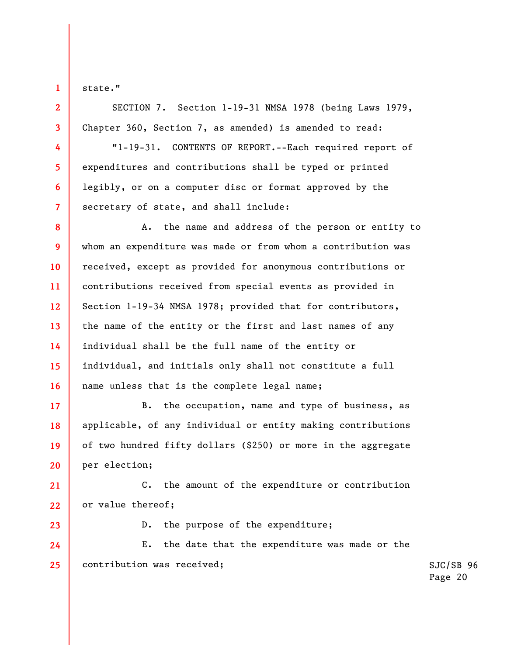state."

**1** 

**2** 

**3** 

**4** 

**5** 

**6** 

**7** 

**17** 

**18** 

**19** 

**20** 

**23** 

SECTION 7. Section 1-19-31 NMSA 1978 (being Laws 1979, Chapter 360, Section 7, as amended) is amended to read:

"1-19-31. CONTENTS OF REPORT.--Each required report of expenditures and contributions shall be typed or printed legibly, or on a computer disc or format approved by the secretary of state, and shall include:

**8 9 10 11 12 13 14 15 16**  A. the name and address of the person or entity to whom an expenditure was made or from whom a contribution was received, except as provided for anonymous contributions or contributions received from special events as provided in Section 1-19-34 NMSA 1978; provided that for contributors, the name of the entity or the first and last names of any individual shall be the full name of the entity or individual, and initials only shall not constitute a full name unless that is the complete legal name;

B. the occupation, name and type of business, as applicable, of any individual or entity making contributions of two hundred fifty dollars (\$250) or more in the aggregate per election;

**21 22**  C. the amount of the expenditure or contribution or value thereof;

D. the purpose of the expenditure;

**24 25**  E. the date that the expenditure was made or the contribution was received;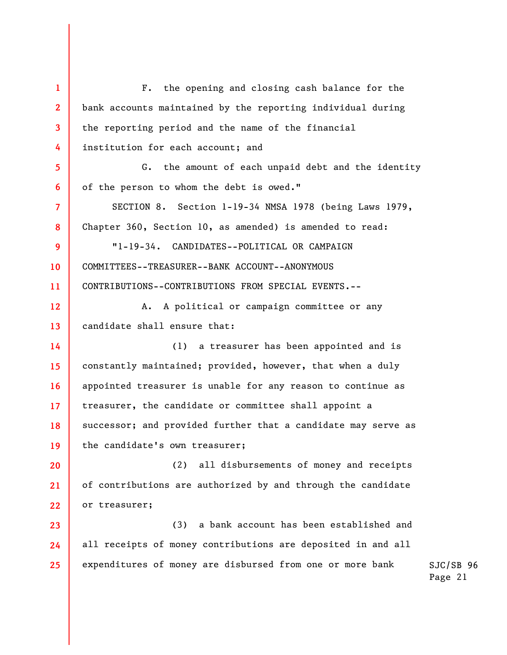**1 2 3 4 5 6 7 8 9 10 11 12 13 14 15 16 17 18 19 20 21 22 23 24 25**  F. the opening and closing cash balance for the bank accounts maintained by the reporting individual during the reporting period and the name of the financial institution for each account; and G. the amount of each unpaid debt and the identity of the person to whom the debt is owed." SECTION 8. Section 1-19-34 NMSA 1978 (being Laws 1979, Chapter 360, Section 10, as amended) is amended to read: "1-19-34. CANDIDATES--POLITICAL OR CAMPAIGN COMMITTEES--TREASURER--BANK ACCOUNT--ANONYMOUS CONTRIBUTIONS--CONTRIBUTIONS FROM SPECIAL EVENTS.-- A. A political or campaign committee or any candidate shall ensure that: (1) a treasurer has been appointed and is constantly maintained; provided, however, that when a duly appointed treasurer is unable for any reason to continue as treasurer, the candidate or committee shall appoint a successor; and provided further that a candidate may serve as the candidate's own treasurer; (2) all disbursements of money and receipts of contributions are authorized by and through the candidate or treasurer; (3) a bank account has been established and all receipts of money contributions are deposited in and all expenditures of money are disbursed from one or more bank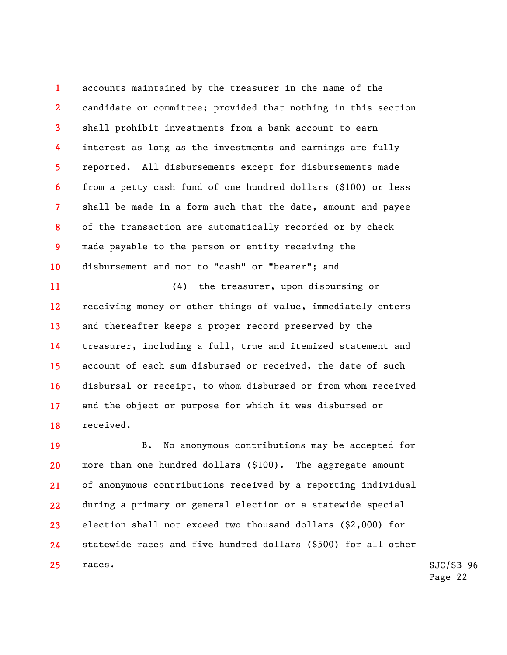accounts maintained by the treasurer in the name of the candidate or committee; provided that nothing in this section shall prohibit investments from a bank account to earn interest as long as the investments and earnings are fully reported. All disbursements except for disbursements made from a petty cash fund of one hundred dollars (\$100) or less shall be made in a form such that the date, amount and payee of the transaction are automatically recorded or by check made payable to the person or entity receiving the disbursement and not to "cash" or "bearer"; and

**1** 

**2** 

**3** 

**4** 

**5** 

**6** 

**7** 

**8** 

**9** 

**10** 

**11 12 13 14 15 16 17 18**  (4) the treasurer, upon disbursing or receiving money or other things of value, immediately enters and thereafter keeps a proper record preserved by the treasurer, including a full, true and itemized statement and account of each sum disbursed or received, the date of such disbursal or receipt, to whom disbursed or from whom received and the object or purpose for which it was disbursed or received.

**19 20 21 22 23 24 25**  B. No anonymous contributions may be accepted for more than one hundred dollars (\$100). The aggregate amount of anonymous contributions received by a reporting individual during a primary or general election or a statewide special election shall not exceed two thousand dollars (\$2,000) for statewide races and five hundred dollars (\$500) for all other races.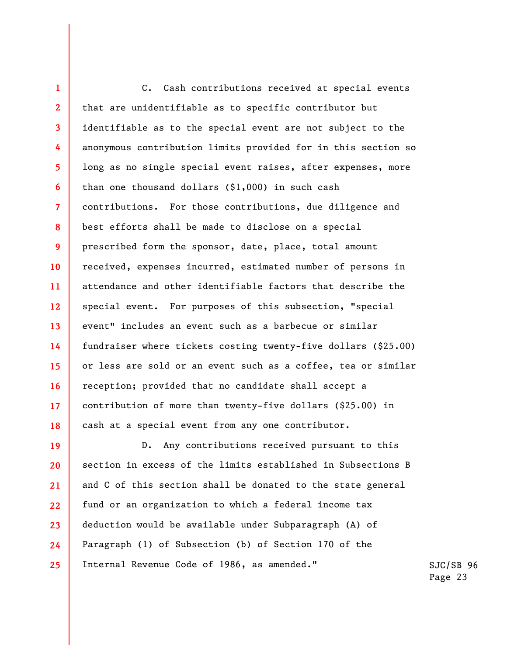**1 2 3 4 5 6 7 8 9 10 11 12 13 14 15 16 17 18**  C. Cash contributions received at special events that are unidentifiable as to specific contributor but identifiable as to the special event are not subject to the anonymous contribution limits provided for in this section so long as no single special event raises, after expenses, more than one thousand dollars (\$1,000) in such cash contributions. For those contributions, due diligence and best efforts shall be made to disclose on a special prescribed form the sponsor, date, place, total amount received, expenses incurred, estimated number of persons in attendance and other identifiable factors that describe the special event. For purposes of this subsection, "special event" includes an event such as a barbecue or similar fundraiser where tickets costing twenty-five dollars (\$25.00) or less are sold or an event such as a coffee, tea or similar reception; provided that no candidate shall accept a contribution of more than twenty-five dollars (\$25.00) in cash at a special event from any one contributor.

**19 20 21 22 23 24 25**  D. Any contributions received pursuant to this section in excess of the limits established in Subsections B and C of this section shall be donated to the state general fund or an organization to which a federal income tax deduction would be available under Subparagraph (A) of Paragraph (1) of Subsection (b) of Section 170 of the Internal Revenue Code of 1986, as amended."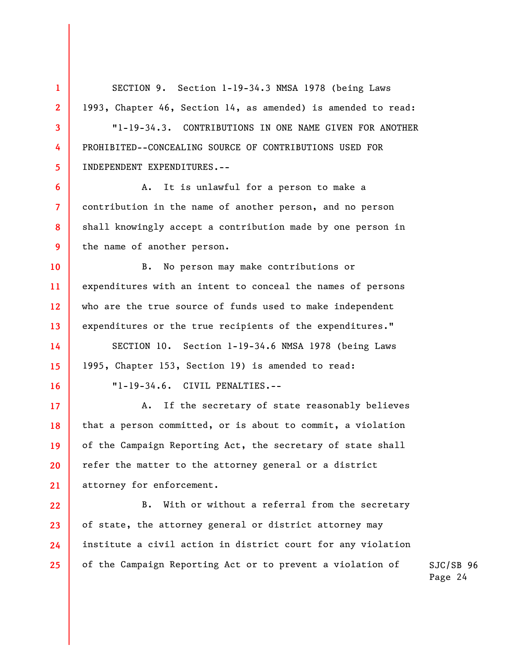**1 2 3 4 5 6 7 8 9 10 11 12 13 14 15 16 17 18 19 20 21 22 23 24 25**  SECTION 9. Section 1-19-34.3 NMSA 1978 (being Laws 1993, Chapter 46, Section 14, as amended) is amended to read: "1-19-34.3. CONTRIBUTIONS IN ONE NAME GIVEN FOR ANOTHER PROHIBITED--CONCEALING SOURCE OF CONTRIBUTIONS USED FOR INDEPENDENT EXPENDITURES.-- A. It is unlawful for a person to make a contribution in the name of another person, and no person shall knowingly accept a contribution made by one person in the name of another person. B. No person may make contributions or expenditures with an intent to conceal the names of persons who are the true source of funds used to make independent expenditures or the true recipients of the expenditures." SECTION 10. Section 1-19-34.6 NMSA 1978 (being Laws 1995, Chapter 153, Section 19) is amended to read: "1-19-34.6. CIVIL PENALTIES.-- A. If the secretary of state reasonably believes that a person committed, or is about to commit, a violation of the Campaign Reporting Act, the secretary of state shall refer the matter to the attorney general or a district attorney for enforcement. B. With or without a referral from the secretary of state, the attorney general or district attorney may institute a civil action in district court for any violation of the Campaign Reporting Act or to prevent a violation of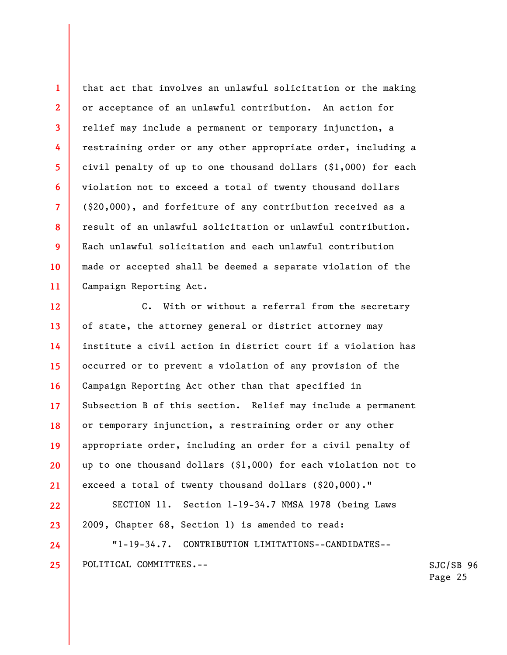that act that involves an unlawful solicitation or the making or acceptance of an unlawful contribution. An action for relief may include a permanent or temporary injunction, a restraining order or any other appropriate order, including a civil penalty of up to one thousand dollars (\$1,000) for each violation not to exceed a total of twenty thousand dollars (\$20,000), and forfeiture of any contribution received as a result of an unlawful solicitation or unlawful contribution. Each unlawful solicitation and each unlawful contribution made or accepted shall be deemed a separate violation of the Campaign Reporting Act.

**1** 

**2** 

**3** 

**4** 

**5** 

**6** 

**7** 

**8** 

**9** 

**10** 

**11** 

**24** 

**25** 

**12 13 14 15 16 17 18 19 20 21**  C. With or without a referral from the secretary of state, the attorney general or district attorney may institute a civil action in district court if a violation has occurred or to prevent a violation of any provision of the Campaign Reporting Act other than that specified in Subsection B of this section. Relief may include a permanent or temporary injunction, a restraining order or any other appropriate order, including an order for a civil penalty of up to one thousand dollars (\$1,000) for each violation not to exceed a total of twenty thousand dollars (\$20,000)."

**22 23**  SECTION 11. Section 1-19-34.7 NMSA 1978 (being Laws 2009, Chapter 68, Section 1) is amended to read:

"1-19-34.7. CONTRIBUTION LIMITATIONS--CANDIDATES-- POLITICAL COMMITTEES.--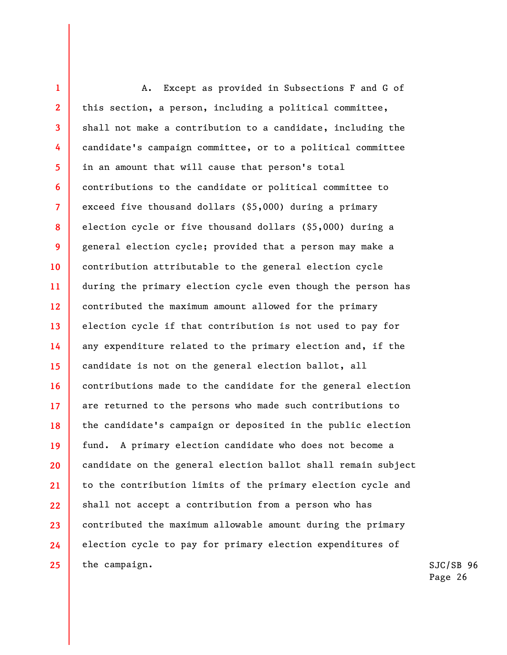**1 2 3 4 5 6 7 8 9 10 11 12 13 14 15 16 17 18 19 20 21 22 23 24 25**  A. Except as provided in Subsections F and G of this section, a person, including a political committee, shall not make a contribution to a candidate, including the candidate's campaign committee, or to a political committee in an amount that will cause that person's total contributions to the candidate or political committee to exceed five thousand dollars (\$5,000) during a primary election cycle or five thousand dollars (\$5,000) during a general election cycle; provided that a person may make a contribution attributable to the general election cycle during the primary election cycle even though the person has contributed the maximum amount allowed for the primary election cycle if that contribution is not used to pay for any expenditure related to the primary election and, if the candidate is not on the general election ballot, all contributions made to the candidate for the general election are returned to the persons who made such contributions to the candidate's campaign or deposited in the public election fund. A primary election candidate who does not become a candidate on the general election ballot shall remain subject to the contribution limits of the primary election cycle and shall not accept a contribution from a person who has contributed the maximum allowable amount during the primary election cycle to pay for primary election expenditures of the campaign.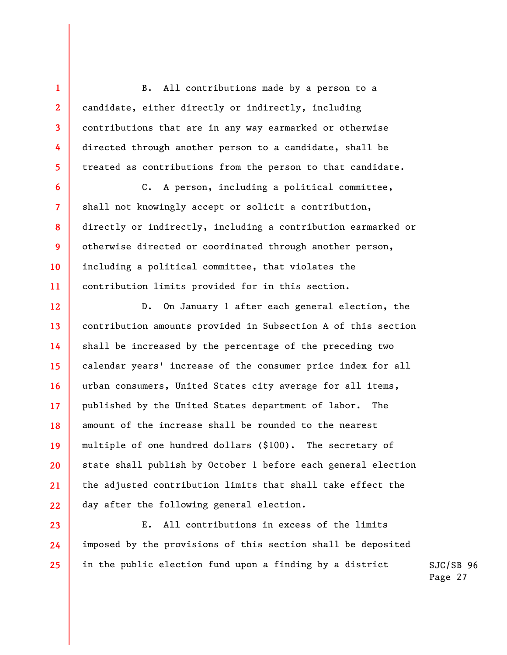B. All contributions made by a person to a candidate, either directly or indirectly, including contributions that are in any way earmarked or otherwise directed through another person to a candidate, shall be treated as contributions from the person to that candidate.

C. A person, including a political committee, shall not knowingly accept or solicit a contribution, directly or indirectly, including a contribution earmarked or otherwise directed or coordinated through another person, including a political committee, that violates the contribution limits provided for in this section.

D. On January 1 after each general election, the contribution amounts provided in Subsection A of this section shall be increased by the percentage of the preceding two calendar years' increase of the consumer price index for all urban consumers, United States city average for all items, published by the United States department of labor. The amount of the increase shall be rounded to the nearest multiple of one hundred dollars (\$100). The secretary of state shall publish by October 1 before each general election the adjusted contribution limits that shall take effect the day after the following general election.

E. All contributions in excess of the limits imposed by the provisions of this section shall be deposited in the public election fund upon a finding by a district

SJC/SB 96 Page 27

**1**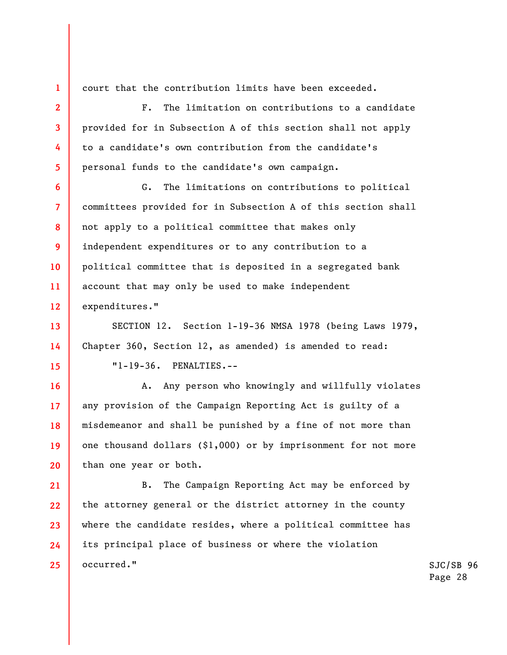court that the contribution limits have been exceeded.

**1** 

**2** 

**3** 

**4** 

**5** 

**7** 

**9** 

**10** 

**13** 

**14** 

**15** 

**16** 

**17** 

**18** 

**19** 

**20** 

F. The limitation on contributions to a candidate provided for in Subsection A of this section shall not apply to a candidate's own contribution from the candidate's personal funds to the candidate's own campaign.

**6 8 11 12**  G. The limitations on contributions to political committees provided for in Subsection A of this section shall not apply to a political committee that makes only independent expenditures or to any contribution to a political committee that is deposited in a segregated bank account that may only be used to make independent expenditures."

SECTION 12. Section 1-19-36 NMSA 1978 (being Laws 1979, Chapter 360, Section 12, as amended) is amended to read: "1-19-36. PENALTIES.--

A. Any person who knowingly and willfully violates any provision of the Campaign Reporting Act is guilty of a misdemeanor and shall be punished by a fine of not more than one thousand dollars (\$1,000) or by imprisonment for not more than one year or both.

**21 22 23 24 25**  B. The Campaign Reporting Act may be enforced by the attorney general or the district attorney in the county where the candidate resides, where a political committee has its principal place of business or where the violation occurred."